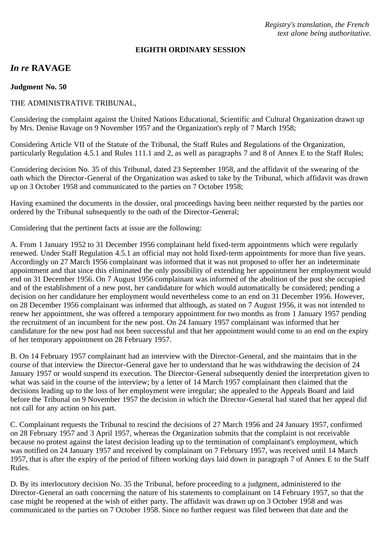*Registry's translation, the French text alone being authoritative.*

#### **EIGHTH ORDINARY SESSION**

# *In re* **RAVAGE**

**Judgment No. 50**

### THE ADMINISTRATIVE TRIBUNAL,

Considering the complaint against the United Nations Educational, Scientific and Cultural Organization drawn up by Mrs. Denise Ravage on 9 November 1957 and the Organization's reply of 7 March 1958;

Considering Article VII of the Statute of the Tribunal, the Staff Rules and Regulations of the Organization, particularly Regulation 4.5.1 and Rules 111.1 and 2, as well as paragraphs 7 and 8 of Annex E to the Staff Rules;

Considering decision No. 35 of this Tribunal, dated 23 September 1958, and the affidavit of the swearing of the oath which the Director-General of the Organization was asked to take by the Tribunal, which affidavit was drawn up on 3 October 1958 and communicated to the parties on 7 October 1958;

Having examined the documents in the dossier, oral proceedings having been neither requested by the parties nor ordered by the Tribunal subsequently to the oath of the Director-General;

Considering that the pertinent facts at issue are the following:

A. From 1 January 1952 to 31 December 1956 complainant held fixed-term appointments which were regularly renewed. Under Staff Regulation 4.5.1 an official may not hold fixed-term appointments for more than five years. Accordingly on 27 March 1956 complainant was informed that it was not proposed to offer her an indeterminate appointment and that since this eliminated the only possibility of extending her appointment her employment would end on 31 December 1956. On 7 August 1956 complainant was informed of the abolition of the post she occupied and of the establishment of a new post, her candidature for which would automatically be considered; pending a decision on her candidature her employment would nevertheless come to an end on 31 December 1956. However, on 28 December 1956 complainant was informed that although, as stated on 7 August 1956, it was not intended to renew her appointment, she was offered a temporary appointment for two months as from 1 January 1957 pending the recruitment of an incumbent for the new post. On 24 January 1957 complainant was informed that her candidature for the new post had not been successful and that her appointment would come to an end on the expiry of her temporary appointment on 28 February 1957.

B. On 14 February 1957 complainant had an interview with the Director-General, and she maintains that in the course of that interview the Director-General gave her to understand that he was withdrawing the decision of 24 January 1957 or would suspend its execution. The Director-General subsequently denied the interpretation given to what was said in the course of the interview; by a letter of 14 March 1957 complainant then claimed that the decisions leading up to the loss of her employment were irregular; she appealed to the Appeals Board and laid before the Tribunal on 9 November 1957 the decision in which the Director-General had stated that her appeal did not call for any action on his part.

C. Complainant requests the Tribunal to rescind the decisions of 27 March 1956 and 24 January 1957, confirmed on 28 February 1957 and 3 April 1957, whereas the Organization submits that the complaint is not receivable because no protest against the latest decision leading up to the termination of complainant's employment, which was notified on 24 January 1957 and received by complainant on 7 February 1957, was received until 14 March 1957, that is after the expiry of the period of fifteen working days laid down in paragraph 7 of Annex E to the Staff Rules.

D. By its interlocutory decision No. 35 the Tribunal, before proceeding to a judgment, administered to the Director-General an oath concerning the nature of his statements to complainant on 14 February 1957, so that the case might be reopened at the wish of either party. The affidavit was drawn up on 3 October 1958 and was communicated to the parties on 7 October 1958. Since no further request was filed between that date and the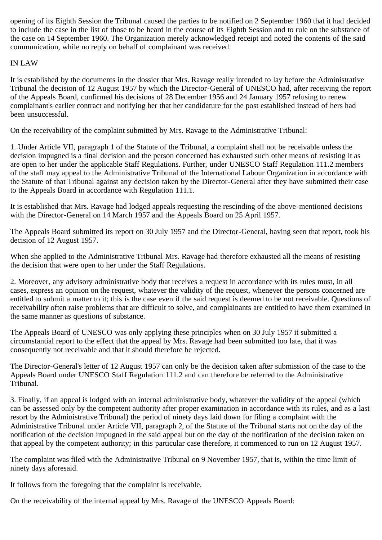opening of its Eighth Session the Tribunal caused the parties to be notified on 2 September 1960 that it had decided to include the case in the list of those to be heard in the course of its Eighth Session and to rule on the substance of the case on 14 September 1960. The Organization merely acknowledged receipt and noted the contents of the said communication, while no reply on behalf of complainant was received.

## IN LAW

It is established by the documents in the dossier that Mrs. Ravage really intended to lay before the Administrative Tribunal the decision of 12 August 1957 by which the Director-General of UNESCO had, after receiving the report of the Appeals Board, confirmed his decisions of 28 December 1956 and 24 January 1957 refusing to renew complainant's earlier contract and notifying her that her candidature for the post established instead of hers had been unsuccessful.

On the receivability of the complaint submitted by Mrs. Ravage to the Administrative Tribunal:

1. Under Article VII, paragraph 1 of the Statute of the Tribunal, a complaint shall not be receivable unless the decision impugned is a final decision and the person concerned has exhausted such other means of resisting it as are open to her under the applicable Staff Regulations. Further, under UNESCO Staff Regulation 111.2 members of the staff may appeal to the Administrative Tribunal of the International Labour Organization in accordance with the Statute of that Tribunal against any decision taken by the Director-General after they have submitted their case to the Appeals Board in accordance with Regulation 111.1.

It is established that Mrs. Ravage had lodged appeals requesting the rescinding of the above-mentioned decisions with the Director-General on 14 March 1957 and the Appeals Board on 25 April 1957.

The Appeals Board submitted its report on 30 July 1957 and the Director-General, having seen that report, took his decision of 12 August 1957.

When she applied to the Administrative Tribunal Mrs. Ravage had therefore exhausted all the means of resisting the decision that were open to her under the Staff Regulations.

2. Moreover, any advisory administrative body that receives a request in accordance with its rules must, in all cases, express an opinion on the request, whatever the validity of the request, whenever the persons concerned are entitled to submit a matter to it; this is the case even if the said request is deemed to be not receivable. Questions of receivability often raise problems that are difficult to solve, and complainants are entitled to have them examined in the same manner as questions of substance.

The Appeals Board of UNESCO was only applying these principles when on 30 July 1957 it submitted a circumstantial report to the effect that the appeal by Mrs. Ravage had been submitted too late, that it was consequently not receivable and that it should therefore be rejected.

The Director-General's letter of 12 August 1957 can only be the decision taken after submission of the case to the Appeals Board under UNESCO Staff Regulation 111.2 and can therefore be referred to the Administrative Tribunal.

3. Finally, if an appeal is lodged with an internal administrative body, whatever the validity of the appeal (which can be assessed only by the competent authority after proper examination in accordance with its rules, and as a last resort by the Administrative Tribunal) the period of ninety days laid down for filing a complaint with the Administrative Tribunal under Article VII, paragraph 2, of the Statute of the Tribunal starts not on the day of the notification of the decision impugned in the said appeal but on the day of the notification of the decision taken on that appeal by the competent authority; in this particular case therefore, it commenced to run on 12 August 1957.

The complaint was filed with the Administrative Tribunal on 9 November 1957, that is, within the time limit of ninety days aforesaid.

It follows from the foregoing that the complaint is receivable.

On the receivability of the internal appeal by Mrs. Ravage of the UNESCO Appeals Board: